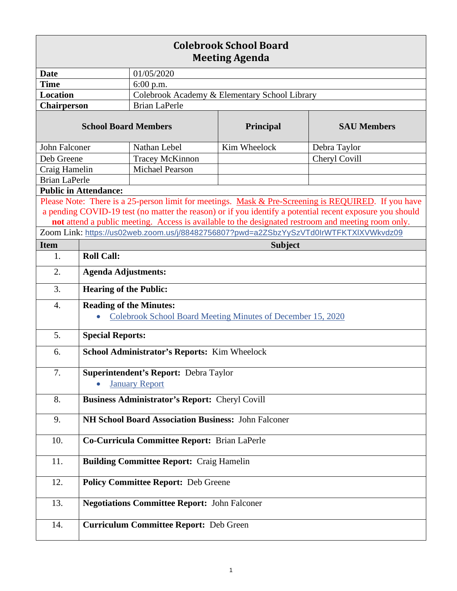| <b>Colebrook School Board</b><br><b>Meeting Agenda</b> |                                                             |                                               |                  |                                                                                                          |  |
|--------------------------------------------------------|-------------------------------------------------------------|-----------------------------------------------|------------------|----------------------------------------------------------------------------------------------------------|--|
| <b>Date</b>                                            |                                                             | 01/05/2020                                    |                  |                                                                                                          |  |
| <b>Time</b>                                            |                                                             | 6:00 p.m.                                     |                  |                                                                                                          |  |
| <b>Location</b>                                        |                                                             | Colebrook Academy & Elementary School Library |                  |                                                                                                          |  |
| <b>Chairperson</b>                                     |                                                             | <b>Brian LaPerle</b>                          |                  |                                                                                                          |  |
| <b>School Board Members</b>                            |                                                             |                                               | <b>Principal</b> | <b>SAU Members</b>                                                                                       |  |
| John Falconer                                          |                                                             | Nathan Lebel                                  | Kim Wheelock     | Debra Taylor                                                                                             |  |
| Deb Greene                                             |                                                             | <b>Tracey McKinnon</b>                        |                  | Cheryl Covill                                                                                            |  |
| Craig Hamelin                                          |                                                             | <b>Michael Pearson</b>                        |                  |                                                                                                          |  |
| <b>Brian LaPerle</b>                                   |                                                             |                                               |                  |                                                                                                          |  |
| <b>Public in Attendance:</b>                           |                                                             |                                               |                  |                                                                                                          |  |
|                                                        |                                                             |                                               |                  | Please Note: There is a 25-person limit for meetings. Mask & Pre-Screening is REQUIRED. If you have      |  |
|                                                        |                                                             |                                               |                  | a pending COVID-19 test (no matter the reason) or if you identify a potential recent exposure you should |  |
|                                                        |                                                             |                                               |                  | not attend a public meeting. Access is available to the designated restroom and meeting room only.       |  |
|                                                        |                                                             |                                               |                  | Zoom Link: https://us02web.zoom.us/j/88482756807?pwd=a2ZSbzYySzVTd0lrWTFKTXIXVWkvdz09                    |  |
| <b>Item</b>                                            | <b>Subject</b>                                              |                                               |                  |                                                                                                          |  |
| 1.                                                     | <b>Roll Call:</b>                                           |                                               |                  |                                                                                                          |  |
| 2.                                                     | <b>Agenda Adjustments:</b>                                  |                                               |                  |                                                                                                          |  |
| 3.                                                     | <b>Hearing of the Public:</b>                               |                                               |                  |                                                                                                          |  |
| $\overline{4}$ .                                       | <b>Reading of the Minutes:</b>                              |                                               |                  |                                                                                                          |  |
|                                                        | Colebrook School Board Meeting Minutes of December 15, 2020 |                                               |                  |                                                                                                          |  |
| 5.                                                     | <b>Special Reports:</b>                                     |                                               |                  |                                                                                                          |  |
| 6.                                                     | School Administrator's Reports: Kim Wheelock                |                                               |                  |                                                                                                          |  |
| 7.                                                     | Superintendent's Report: Debra Taylor                       |                                               |                  |                                                                                                          |  |
|                                                        |                                                             | <b>January Report</b>                         |                  |                                                                                                          |  |
| 8.                                                     | <b>Business Administrator's Report: Cheryl Covill</b>       |                                               |                  |                                                                                                          |  |
| 9.                                                     | <b>NH School Board Association Business: John Falconer</b>  |                                               |                  |                                                                                                          |  |
| 10.                                                    | Co-Curricula Committee Report: Brian LaPerle                |                                               |                  |                                                                                                          |  |
| 11.                                                    | <b>Building Committee Report: Craig Hamelin</b>             |                                               |                  |                                                                                                          |  |
| 12.                                                    |                                                             | <b>Policy Committee Report: Deb Greene</b>    |                  |                                                                                                          |  |
| 13.                                                    | <b>Negotiations Committee Report: John Falconer</b>         |                                               |                  |                                                                                                          |  |
| 14.                                                    |                                                             | <b>Curriculum Committee Report: Deb Green</b> |                  |                                                                                                          |  |